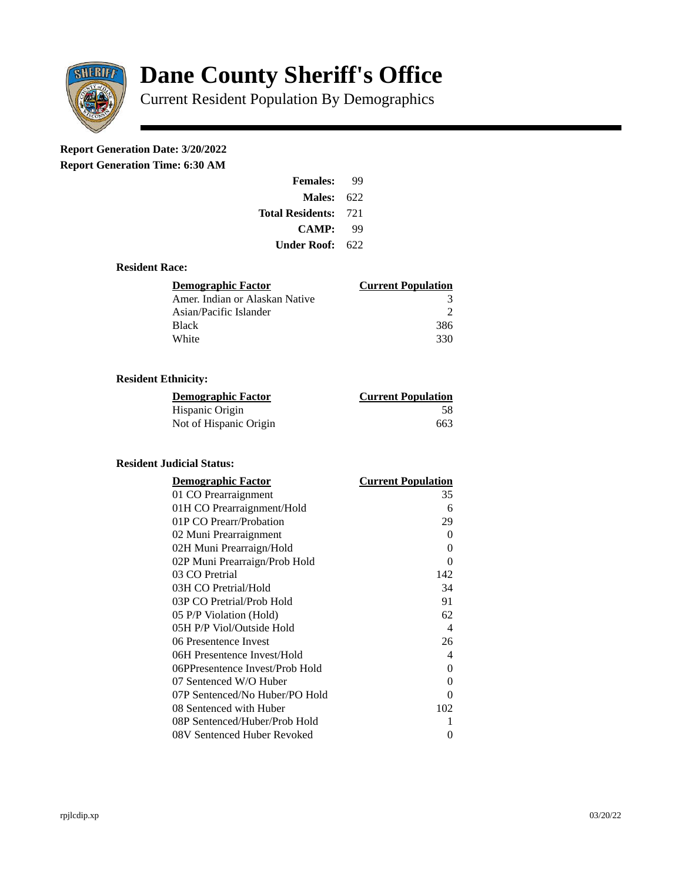

# **Dane County Sheriff's Office**

Current Resident Population By Demographics

# **Report Generation Date: 3/20/2022**

**Report Generation Time: 6:30 AM** 

| <b>Females:</b>         | qq   |  |
|-------------------------|------|--|
| Males:                  | 622  |  |
| <b>Total Residents:</b> | -721 |  |
| <b>CAMP:</b>            | qq   |  |
| Under Roof: .           | 622  |  |

### **Resident Race:**

| Demographic Factor             | <b>Current Population</b> |
|--------------------------------|---------------------------|
| Amer. Indian or Alaskan Native | 3                         |
| Asian/Pacific Islander         |                           |
| <b>Black</b>                   | 386                       |
| White                          | 330                       |

# **Resident Ethnicity:**

| <u> Demographic Factor</u> | <b>Current Population</b> |
|----------------------------|---------------------------|
| Hispanic Origin            | 58                        |
| Not of Hispanic Origin     | 663                       |

# **Resident Judicial Status:**

| <b>Demographic Factor</b>       | <b>Current Population</b>  |
|---------------------------------|----------------------------|
| 01 CO Prearraignment            | 35                         |
| 01H CO Prearraignment/Hold      | 6                          |
| 01P CO Prearr/Probation         | 29                         |
| 02 Muni Prearraignment          | 0                          |
| 02H Muni Prearraign/Hold        | 0                          |
| 02P Muni Prearraign/Prob Hold   | 0                          |
| 03 CO Pretrial                  | 142                        |
| 03H CO Pretrial/Hold            | 34                         |
| 03P CO Pretrial/Prob Hold       | 91                         |
| 05 P/P Violation (Hold)         | 62                         |
| 05H P/P Viol/Outside Hold       | $\boldsymbol{\mathcal{A}}$ |
| 06 Presentence Invest           | 26                         |
| 06H Presentence Invest/Hold     | 4                          |
| 06PPresentence Invest/Prob Hold | 0                          |
| 07 Sentenced W/O Huber          | 0                          |
| 07P Sentenced/No Huber/PO Hold  | 0                          |
| 08 Sentenced with Huber         | 102                        |
| 08P Sentenced/Huber/Prob Hold   | 1                          |
| 08V Sentenced Huber Revoked     | 0                          |